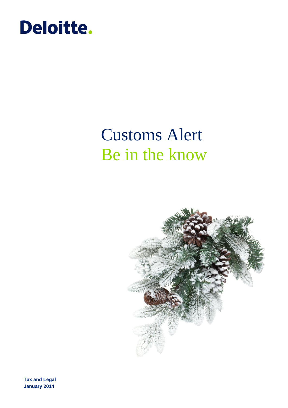

# Customs Alert Be in the know



**Tax and Legal January 2014**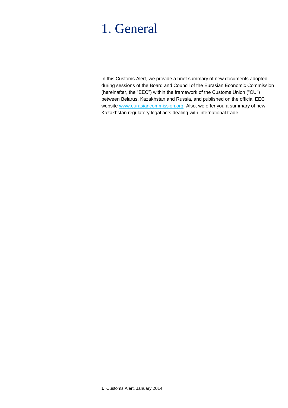## 1. General

In this Customs Alert, we provide a brief summary of new documents adopted during sessions of the Board and Council of the Eurasian Economic Commission (hereinafter, the "EEC") within the framework of the Customs Union ("CU") between Belarus, Kazakhstan and Russia, and published on the official EEC website [www.eurasiancommission.org.](http://www.eurasiancommission.org/) Also, we offer you a summary of new Kazakhstan regulatory legal acts dealing with international trade.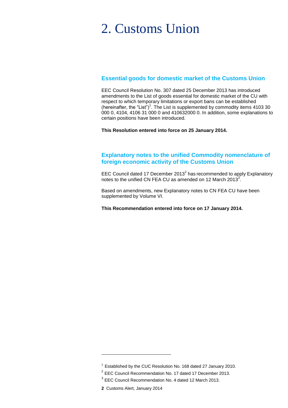## 2. Customs Union

#### **Essential goods for domestic market of the Customs Union**

EEC Council Resolution No. 307 dated 25 December 2013 has introduced amendments to the List of goods essential for domestic market of the CU with respect to which temporary limitations or export bans can be established (hereinafter, the "List")<sup>1</sup>. The List is supplemented by commodity items 4103 30 000 0, 4104, 4106 31 000 0 and 410632000 0. In addition, some explanations to certain positions have been introduced.

**This Resolution entered into force on 25 January 2014.**

#### **Explanatory notes to the unified Commodity nomenclature of foreign economic activity of the Customs Union**

EEC Council dated 17 December 2013<sup>2</sup> has recommended to apply Explanatory notes to the unified CN FEA CU as amended on 12 March 2013<sup>3</sup>.

Based on amendments, new Explanatory notes to CN FEA CU have been supplemented by Volume VI.

**This Recommendation entered into force on 17 January 2014.**

 $1$  Established by the CUC Resolution No. 168 dated 27 January 2010.

 $2$  EEC Council Recommendation No. 17 dated 17 December 2013.

 $3$  EEC Council Recommendation No. 4 dated 12 March 2013.

**<sup>2</sup>** Customs Alert, January 2014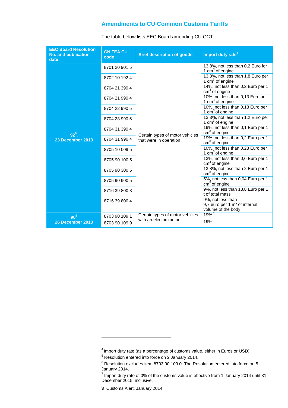#### **Amendments to CU Common Customs Tariffs**

| <b>EEC Board Resolution</b><br><b>No. and publication</b><br>date | <b>CN FEA CU</b><br>code       | <b>Brief description of goods</b>                         | Import duty rate <sup>4</sup>                                                                                              |
|-------------------------------------------------------------------|--------------------------------|-----------------------------------------------------------|----------------------------------------------------------------------------------------------------------------------------|
| $92^{5}$<br>23 December 2013                                      | 8701 20 901 5                  | Certain types of motor vehicles<br>that were in operation | 13,8%, not less than 0,2 Euro for<br>1 $cm3$ of engine<br>13,3%, not less than 1,8 Euro per<br>1 cm <sup>3</sup> of engine |
|                                                                   | 8702 10 192 4                  |                                                           |                                                                                                                            |
|                                                                   | 8704 21 390 4                  |                                                           | 14%, not less than 0,2 Euro per 1<br>$cm3$ of engine                                                                       |
|                                                                   | 8704 21 990 4                  |                                                           | 10%, not less than 0,13 Euro per<br>1 $cm3$ of engine                                                                      |
|                                                                   | 8704 22 990 5                  |                                                           | 10%, not less than 0,18 Euro per<br>1 $cm3$ of engine                                                                      |
|                                                                   | 8704 23 990 5                  |                                                           | 13,3%, not less than 1,2 Euro per<br>1 $cm3$ of engine<br>19%, not less than 0,1 Euro per 1<br>cm <sup>3</sup> of engine   |
|                                                                   | 8704 31 390 4                  |                                                           |                                                                                                                            |
|                                                                   | 8704 31 990 4                  |                                                           | 19%, not less than 0,2 Euro per 1<br>$cm3$ of engine                                                                       |
|                                                                   | 8705 10 009 5                  |                                                           | 10%, not less than 0,28 Euro per<br>1 $cm3$ of engine                                                                      |
|                                                                   | 8705 90 100 5                  |                                                           | 13%, not less than 0,6 Euro per 1<br>$cm3$ of engine                                                                       |
|                                                                   | 8705 90 300 5                  |                                                           | 13,8%, not less than 2 Euro per 1<br>$cm3$ of engine                                                                       |
|                                                                   | 8705 90 900 5                  |                                                           | 5%, not less than 0,04 Euro per 1<br>cm <sup>3</sup> of engine                                                             |
|                                                                   | 8716 39 800 3                  |                                                           | 9%, not less than 13,8 Euro per 1<br>t of total mass                                                                       |
|                                                                   | 8716 39 800 4                  |                                                           | 9%, not less than<br>9,7 euro per 1 m <sup>3</sup> of internal                                                             |
|                                                                   |                                | Certain types of motor vehicles                           | volume of the body<br>19%                                                                                                  |
| $98^6$<br>26 December 2013                                        | 8703 90 109 1<br>8703 90 109 9 | with an electric motor                                    | 19%                                                                                                                        |
|                                                                   |                                |                                                           |                                                                                                                            |

The table below lists EEC Board amending CU CCT.

 $<sup>4</sup>$  Import duty rate (as a percentage of customs value, either in Euros or USD).</sup>

<sup>5</sup> Resolution entered into force on 2 January 2014.

 $6$  Resolution excludes item 8703 90 109 0. The Resolution entered into force on 5 January 2014.

 $^7$  Import duty rate of 0% of the customs value is effective from 1 January 2014 until 31 December 2015, inclusive.

**<sup>3</sup>** Customs Alert, January 2014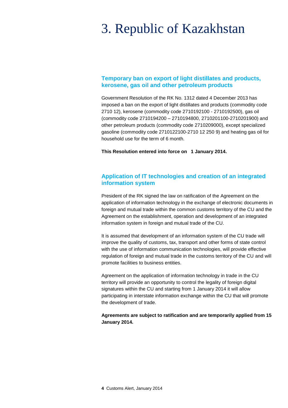# 3. Republic of Kazakhstan

#### **Temporary ban on export of light distillates and products, kerosene, gas oil and other petroleum products**

Government Resolution of the RK No. 1312 dated 4 December 2013 has imposed a ban on the export of light distillates and products (commodity code 2710 12), kerosene (commodity code 2710192100 - 2710192500), gas oil (commodity code 2710194200 – 2710194800, 2710201100-2710201900) and other petroleum products (commodity code 2710209000), except specialized gasoline (commodity code 2710122100-2710 12 250 9) and heating gas oil for household use for the term of 6 month.

**This Resolution entered into force on 1 January 2014.** 

#### **Application of IT technologies and creation of an integrated information system**

President of the RK signed the law on ratification of the Agreement on the application of information technology in the exchange of electronic documents in foreign and mutual trade within the common customs territory of the CU and the Agreement on the establishment, operation and development of an integrated information system in foreign and mutual trade of the CU.

It is assumed that development of an information system of the CU trade will improve the quality of customs, tax, transport and other forms of state control with the use of information communication technologies, will provide effective regulation of foreign and mutual trade in the customs territory of the CU and will promote facilities to business entities.

Agreement on the application of information technology in trade in the CU territory will provide an opportunity to control the legality of foreign digital signatures within the CU and starting from 1 January 2014 it will allow participating in interstate information exchange within the CU that will promote the development of trade.

**Agreements are subject to ratification and are temporarily applied from 15 January 2014.**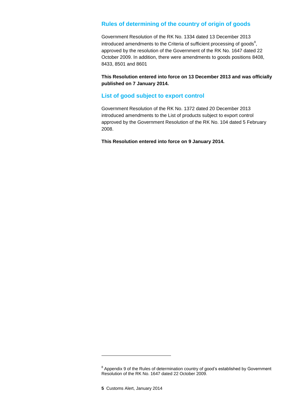#### **Rules of determining of the country of origin of goods**

Government Resolution of the RK No. 1334 dated 13 December 2013 introduced amendments to the Criteria of sufficient processing of goods $<sup>8</sup>$ ,</sup> approved by the resolution of the Government of the RK No. 1647 dated 22 October 2009. In addition, there were amendments to goods positions 8408, 8433, 8501 and 8601

**This Resolution entered into force on 13 December 2013 and was officially published on 7 January 2014.**

#### **List of good subject to export control**

Government Resolution of the RK No. 1372 dated 20 December 2013 introduced amendments to the List of products subject to export control approved by the Government Resolution of the RK No. 104 dated 5 February 2008.

**This Resolution entered into force on 9 January 2014.** 

<sup>&</sup>lt;sup>8</sup> Appendix 9 of the Rules of determination country of good's established by Government Resolution of the RK No. 1647 dated 22 October 2009.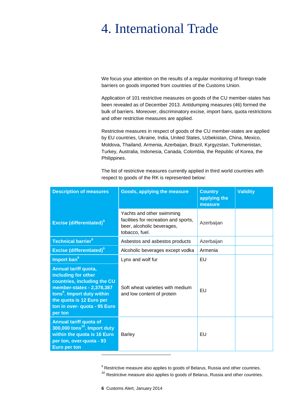# 4. International Trade

We focus your attention on the results of a regular monitoring of foreign trade barriers on goods imported from countries of the Customs Union.

Application of 101 restrictive measures on goods of the CU member-states has been revealed as of December 2013. Antidumping measures (46) formed the bulk of barriers. Moreover, discriminatory excise, import bans, quota restrictions and other restrictive measures are applied.

Restrictive measures in respect of goods of the CU member-states are applied by EU countries, Ukraine, India, United States, Uzbekistan, China, Mexico, Moldova, Thailand, Armenia, Azerbaijan, Brazil, Kyrgyzstan, Turkmenistan, Turkey, Australia, Indonesia, Canada, Colombia, the Republic of Korea, the Philippines.

The list of restrictive measures currently applied in third world countries with respect to goods of the RK is represented below:

| <b>Description of measures</b>                                                                                                                                                                                           | Goods, applying the measure                                                                                        | <b>Country</b><br>applying the<br>measure | <b>Validity</b> |
|--------------------------------------------------------------------------------------------------------------------------------------------------------------------------------------------------------------------------|--------------------------------------------------------------------------------------------------------------------|-------------------------------------------|-----------------|
| <b>Excise (differentiated)</b> <sup>9</sup>                                                                                                                                                                              | Yachts and other swimming<br>facilities for recreation and sports,<br>beer, alcoholic beverages,<br>tobacco, fuel. | Azerbaijan                                |                 |
| <b>Technical barrier<sup>9</sup></b>                                                                                                                                                                                     | Asbestos and asbestos products                                                                                     | Azerbaijan                                |                 |
| <b>Excise (differentiated)</b> <sup>9</sup>                                                                                                                                                                              | Alcoholic beverages except vodka                                                                                   | Armenia                                   |                 |
| Import ban <sup>9</sup>                                                                                                                                                                                                  | Lynx and wolf fur                                                                                                  | EU                                        |                 |
| Annual tariff quota,<br>including for other<br>countries, including the CU<br>member-states - 2,378,387<br>tons <sup>9</sup> . Import duty within<br>the quota is 12 Euro per<br>ton in over- quota - 95 Euro<br>per ton | Soft wheat varieties with medium<br>and low content of protein                                                     | EU                                        |                 |
| <b>Annual tariff quota of</b><br>$300,000$ tons <sup>10</sup> . Import duty<br>within the quota is 16 Euro<br>per ton, over-quota - 93<br><b>Euro per ton</b>                                                            | <b>Barley</b>                                                                                                      | EU                                        |                 |

 $9$  Restrictive measure also applies to goods of Belarus, Russia and other countries.

 $10$  Restrictive measure also applies to goods of Belarus, Russia and other countries.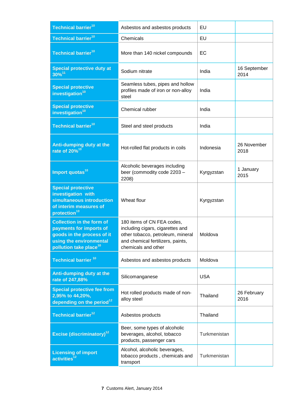| Technical barrier <sup>10</sup>                                                                                                                            | Asbestos and asbestos products                                                                                                                                  | EU           |                      |
|------------------------------------------------------------------------------------------------------------------------------------------------------------|-----------------------------------------------------------------------------------------------------------------------------------------------------------------|--------------|----------------------|
| Technical barrier <sup>10</sup>                                                                                                                            | Chemicals                                                                                                                                                       | EU           |                      |
| Technical barrier <sup>10</sup>                                                                                                                            | More than 140 nickel compounds                                                                                                                                  | EC           |                      |
| <b>Special protective duty at</b><br>$30\%^{11}$                                                                                                           | Sodium nitrate                                                                                                                                                  | India        | 16 September<br>2014 |
| <b>Special protective</b><br>investigation <sup>10</sup>                                                                                                   | Seamless tubes, pipes and hollow<br>profiles made of iron or non-alloy<br>steel                                                                                 | India        |                      |
| <b>Special protective</b><br>investigation <sup>10</sup>                                                                                                   | Chemical rubber                                                                                                                                                 | India        |                      |
| Technical barrier <sup>10</sup>                                                                                                                            | Steel and steel products                                                                                                                                        | India        |                      |
| Anti-dumping duty at the<br>rate of $20\%^{10}$                                                                                                            | Hot-rolled flat products in coils                                                                                                                               | Indonesia    | 26 November<br>2018  |
| Import quotas <sup>10</sup>                                                                                                                                | Alcoholic beverages including<br>beer (commodity code 2203 -<br>2208)                                                                                           | Kyrgyzstan   | 1 January<br>2015    |
| <b>Special protective</b><br>investigation with<br>simultaneous introduction<br>of interim measures of<br>protection <sup>10</sup>                         | Wheat flour                                                                                                                                                     | Kyrgyzstan   |                      |
| <b>Collection in the form of</b><br>payments for imports of<br>goods in the process of it<br>using the environmental<br>pollution take place <sup>10</sup> | 180 items of CN FEA codes,<br>including cigars, cigarettes and<br>other tobacco, petroleum, mineral<br>and chemical fertilizers, paints,<br>chemicals and other | Moldova      |                      |
| Technical barrier <sup>10</sup>                                                                                                                            | Asbestos and asbestos products                                                                                                                                  | Moldova      |                      |
| Anti-dumping duty at the<br>rate of 247,88%                                                                                                                | Silicomanganese                                                                                                                                                 | <b>USA</b>   |                      |
| <b>Special protective fee from</b><br>2,95% to 44,20%,<br>depending on the period <sup>12</sup>                                                            | Hot rolled products made of non-<br>alloy steel                                                                                                                 | Thailand     | 26 February<br>2016  |
| Technical barrier <sup>12</sup>                                                                                                                            | Asbestos products                                                                                                                                               | Thailand     |                      |
| <b>Excise (discriminatory)</b> <sup>12</sup>                                                                                                               | Beer, some types of alcoholic<br>beverages, alcohol, tobacco<br>products, passenger cars                                                                        | Turkmenistan |                      |
| <b>Licensing of import</b><br>$\overline{\text{activities}^{12}}$                                                                                          | Alcohol, alcoholic beverages,<br>tobacco products, chemicals and<br>transport                                                                                   | Turkmenistan |                      |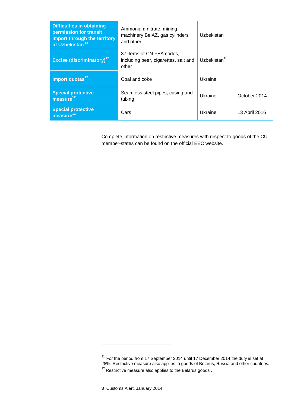| <b>Difficulties in obtaining</b><br>permission for transit<br>import through the territory<br>of Uzbekistan <sup>12</sup> | Ammonium nitrate, mining<br>machinery BelAZ, gas cylinders<br>and other    | Uzbekistan               |               |
|---------------------------------------------------------------------------------------------------------------------------|----------------------------------------------------------------------------|--------------------------|---------------|
| <b>Excise (discriminatory)<sup>12</sup></b>                                                                               | 37 items of CN FEA codes,<br>including beer, cigarettes, salt and<br>other | Uzbekistan <sup>10</sup> |               |
| Import quotas <sup>12</sup>                                                                                               | Coal and coke                                                              | Ukraine                  |               |
| <b>Special protective</b><br>measure $12$                                                                                 | Seamless steel pipes, casing and<br>tubing                                 | Ukraine                  | October 2014  |
| <b>Special protective</b><br>measure $^{\rm 12}$                                                                          | Cars                                                                       | Ukraine                  | 13 April 2016 |

Complete information on restrictive measures with respect to goods of the CU member-states can be found on the official EEC website.

 $11$  For the period from 17 September 2014 until 17 December 2014 the duty is set at 28%. Restrictive measure also applies to goods of Belarus, Russia and other countries.

 $12$  Restrictive measure also applies to the Belarus goods.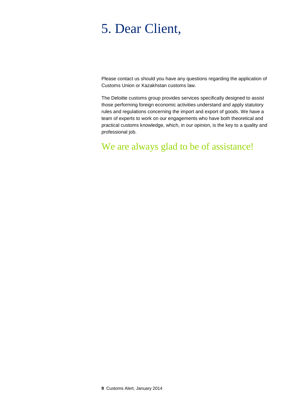# 5. Dear Client,

Please contact us should you have any questions regarding the application of Customs Union or Kazakhstan customs law.

The Deloitte customs group provides services specifically designed to assist those performing foreign economic activities understand and apply statutory rules and regulations concerning the import and export of goods. We have a team of experts to work on our engagements who have both theoretical and practical customs knowledge, which, in our opinion, is the key to a quality and professional job.

We are always glad to be of assistance!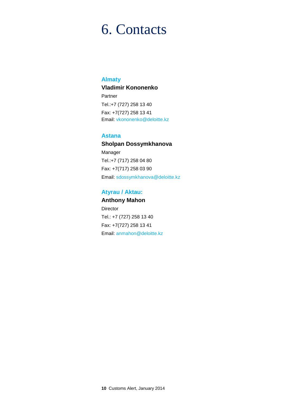## 6. Contacts

#### **Almaty**

#### **Vladimir Kononenko**

Partner Tel.:+7 (727) 258 13 40 Fax: +7(727) 258 13 41 Email: [vkononenko@deloitte.kz](mailto:vkononenko@deloitte.kz)

#### **Astana**

**Sholpan Dossymkhanova** Manager Tel.:+7 (717) 258 04 80 Fax: +7(717) 258 03 90 Email: sdossymkhanova@deloitte.kz

#### **Atyrau / Aktau:**

**Anthony Mahon Director** Tel.: +7 (727) 258 13 40 Fax: +7(727) 258 13 41 Email: anmahon@deloitte.kz